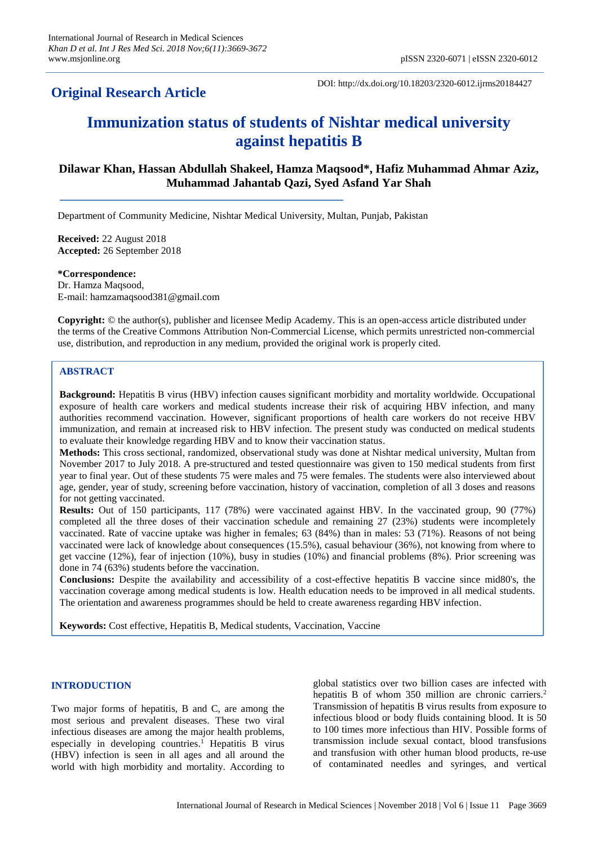## **Original Research Article**

DOI: http://dx.doi.org/10.18203/2320-6012.ijrms20184427

# **Immunization status of students of Nishtar medical university against hepatitis B**

### **Dilawar Khan, Hassan Abdullah Shakeel, Hamza Maqsood\*, Hafiz Muhammad Ahmar Aziz, Muhammad Jahantab Qazi, Syed Asfand Yar Shah**

Department of Community Medicine, Nishtar Medical University, Multan, Punjab, Pakistan

**Received:** 22 August 2018 **Accepted:** 26 September 2018

**\*Correspondence:** Dr. Hamza Maqsood, E-mail: hamzamaqsood381@gmail.com

**Copyright:** © the author(s), publisher and licensee Medip Academy. This is an open-access article distributed under the terms of the Creative Commons Attribution Non-Commercial License, which permits unrestricted non-commercial use, distribution, and reproduction in any medium, provided the original work is properly cited.

#### **ABSTRACT**

**Background:** Hepatitis B virus (HBV) infection causes significant morbidity and mortality worldwide. Occupational exposure of health care workers and medical students increase their risk of acquiring HBV infection, and many authorities recommend vaccination. However, significant proportions of health care workers do not receive HBV immunization, and remain at increased risk to HBV infection. The present study was conducted on medical students to evaluate their knowledge regarding HBV and to know their vaccination status.

**Methods:** This cross sectional, randomized, observational study was done at Nishtar medical university, Multan from November 2017 to July 2018. A pre-structured and tested questionnaire was given to 150 medical students from first year to final year. Out of these students 75 were males and 75 were females. The students were also interviewed about age, gender, year of study, screening before vaccination, history of vaccination, completion of all 3 doses and reasons for not getting vaccinated.

**Results:** Out of 150 participants, 117 (78%) were vaccinated against HBV. In the vaccinated group, 90 (77%) completed all the three doses of their vaccination schedule and remaining 27 (23%) students were incompletely vaccinated. Rate of vaccine uptake was higher in females; 63 (84%) than in males: 53 (71%). Reasons of not being vaccinated were lack of knowledge about consequences (15.5%), casual behaviour (36%), not knowing from where to get vaccine (12%), fear of injection (10%), busy in studies (10%) and financial problems (8%). Prior screening was done in 74 (63%) students before the vaccination.

**Conclusions:** Despite the availability and accessibility of a cost-effective hepatitis B vaccine since mid80's, the vaccination coverage among medical students is low. Health education needs to be improved in all medical students. The orientation and awareness programmes should be held to create awareness regarding HBV infection.

**Keywords:** Cost effective, Hepatitis B, Medical students, Vaccination, Vaccine

#### **INTRODUCTION**

Two major forms of hepatitis, B and C, are among the most serious and prevalent diseases. These two viral infectious diseases are among the major health problems, especially in developing countries. <sup>1</sup> Hepatitis B virus (HBV) infection is seen in all ages and all around the world with high morbidity and mortality. According to global statistics over two billion cases are infected with hepatitis B of whom 350 million are chronic carriers.<sup>2</sup> Transmission of hepatitis B virus results from exposure to infectious blood or body fluids containing blood. It is 50 to 100 times more infectious than HIV. Possible forms of transmission include sexual contact, blood transfusions and transfusion with other human blood products, re-use of contaminated needles and syringes, and vertical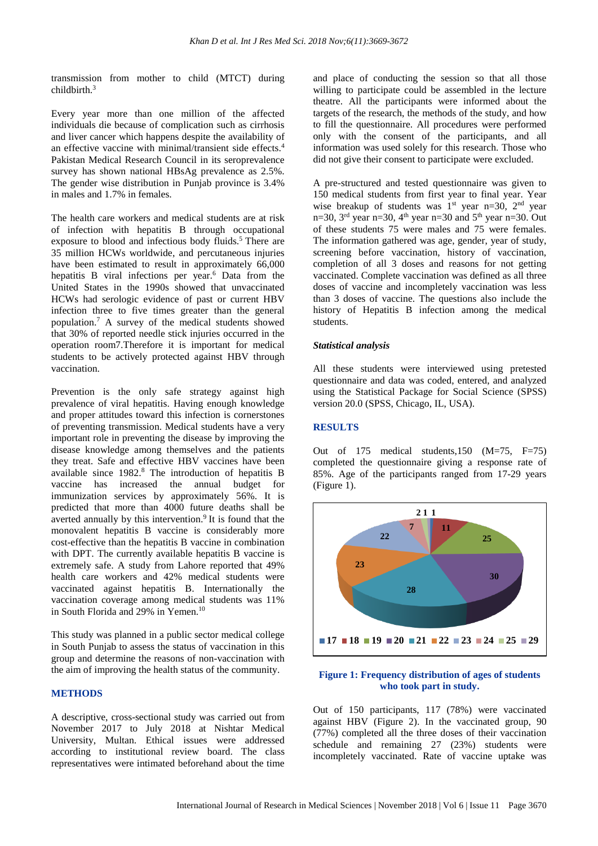transmission from mother to child (MTCT) during childbirth. 3

Every year more than one million of the affected individuals die because of complication such as cirrhosis and liver cancer which happens despite the availability of an effective vaccine with minimal/transient side effects.<sup>4</sup> Pakistan Medical Research Council in its seroprevalence survey has shown national HBsAg prevalence as 2.5%. The gender wise distribution in Punjab province is 3.4% in males and 1.7% in females.

The health care workers and medical students are at risk of infection with hepatitis B through occupational exposure to blood and infectious body fluids. <sup>5</sup> There are 35 million HCWs worldwide, and percutaneous injuries have been estimated to result in approximately 66,000 hepatitis B viral infections per year. <sup>6</sup> Data from the United States in the 1990s showed that unvaccinated HCWs had serologic evidence of past or current HBV infection three to five times greater than the general population. <sup>7</sup> A survey of the medical students showed that 30% of reported needle stick injuries occurred in the operation room7.Therefore it is important for medical students to be actively protected against HBV through vaccination.

Prevention is the only safe strategy against high prevalence of viral hepatitis. Having enough knowledge and proper attitudes toward this infection is cornerstones of preventing transmission. Medical students have a very important role in preventing the disease by improving the disease knowledge among themselves and the patients they treat. Safe and effective HBV vaccines have been available since 1982. <sup>8</sup> The introduction of hepatitis B vaccine has increased the annual budget for immunization services by approximately 56%. It is predicted that more than 4000 future deaths shall be averted annually by this intervention. 9 It is found that the monovalent hepatitis B vaccine is considerably more cost-effective than the hepatitis B vaccine in combination with DPT. The currently available hepatitis B vaccine is extremely safe. A study from Lahore reported that 49% health care workers and 42% medical students were vaccinated against hepatitis B. Internationally the vaccination coverage among medical students was 11% in South Florida and 29% in Yemen. 10

This study was planned in a public sector medical college in South Punjab to assess the status of vaccination in this group and determine the reasons of non-vaccination with the aim of improving the health status of the community.

#### **METHODS**

A descriptive, cross-sectional study was carried out from November 2017 to July 2018 at Nishtar Medical University, Multan. Ethical issues were addressed according to institutional review board. The class representatives were intimated beforehand about the time and place of conducting the session so that all those willing to participate could be assembled in the lecture theatre. All the participants were informed about the targets of the research, the methods of the study, and how to fill the questionnaire. All procedures were performed only with the consent of the participants, and all information was used solely for this research. Those who did not give their consent to participate were excluded.

A pre-structured and tested questionnaire was given to 150 medical students from first year to final year. Year wise breakup of students was  $1<sup>st</sup>$  year n=30,  $2<sup>nd</sup>$  year n=30,  $3<sup>rd</sup>$  year n=30,  $4<sup>th</sup>$  year n=30 and  $5<sup>th</sup>$  year n=30. Out of these students 75 were males and 75 were females. The information gathered was age, gender, year of study, screening before vaccination, history of vaccination, completion of all 3 doses and reasons for not getting vaccinated. Complete vaccination was defined as all three doses of vaccine and incompletely vaccination was less than 3 doses of vaccine. The questions also include the history of Hepatitis B infection among the medical students.

#### *Statistical analysis*

All these students were interviewed using pretested questionnaire and data was coded, entered, and analyzed using the Statistical Package for Social Science (SPSS) version 20.0 (SPSS, Chicago, IL, USA).

#### **RESULTS**

Out of 175 medical students,150 (M=75, F=75) completed the questionnaire giving a response rate of 85%. Age of the participants ranged from 17-29 years (Figure 1).



#### **Figure 1: Frequency distribution of ages of students who took part in study.**

Out of 150 participants, 117 (78%) were vaccinated against HBV (Figure 2). In the vaccinated group, 90 (77%) completed all the three doses of their vaccination schedule and remaining 27 (23%) students were incompletely vaccinated. Rate of vaccine uptake was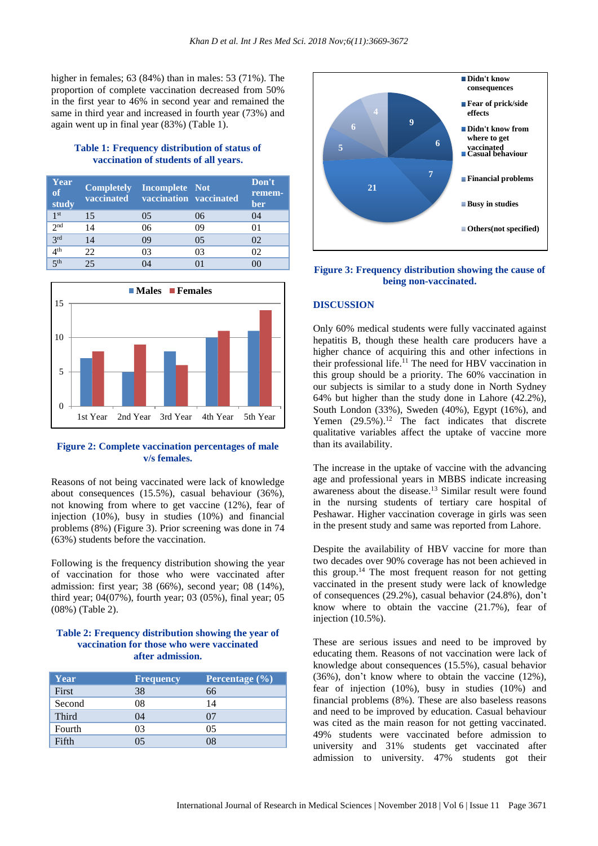higher in females; 63 (84%) than in males: 53 (71%). The proportion of complete vaccination decreased from 50% in the first year to 46% in second year and remained the same in third year and increased in fourth year (73%) and again went up in final year (83%) (Table 1).

#### **Table 1: Frequency distribution of status of vaccination of students of all years.**

| Year<br>of<br>study |    | <b>Completely</b> Incomplete Not<br>vaccinated vaccination vaccinated |     | Don't<br>remem-<br>ber |
|---------------------|----|-----------------------------------------------------------------------|-----|------------------------|
| 1 <sup>st</sup>     | 15 | 0 <sub>5</sub>                                                        | 06  | 04                     |
| 2 <sup>nd</sup>     | 14 | 06                                                                    | 09  | 01                     |
| 3 <sup>rd</sup>     | 14 | 09                                                                    | 0.5 | 02                     |
| 4 <sup>th</sup>     | 22 | 03                                                                    | 03  | 02                     |
| $5$ <sup>th</sup>   |    |                                                                       |     |                        |



#### **Figure 2: Complete vaccination percentages of male v/s females.**

Reasons of not being vaccinated were lack of knowledge about consequences (15.5%), casual behaviour (36%), not knowing from where to get vaccine (12%), fear of injection (10%), busy in studies (10%) and financial problems (8%) (Figure 3). Prior screening was done in 74 (63%) students before the vaccination.

Following is the frequency distribution showing the year of vaccination for those who were vaccinated after admission: first year; 38 (66%), second year; 08 (14%), third year; 04(07%), fourth year; 03 (05%), final year; 05 (08%) (Table 2).

#### **Table 2: Frequency distribution showing the year of vaccination for those who were vaccinated after admission.**

| Year         | <b>Frequency</b> | Percentage $(\% )$ |
|--------------|------------------|--------------------|
| First        | 38               | 66                 |
| Second       | 08               | 14                 |
| <b>Third</b> | 04               | 07                 |
| Fourth       | 03               | 05                 |
| Fifth        | 05               | 78                 |



#### **Figure 3: Frequency distribution showing the cause of being non-vaccinated.**

#### **DISCUSSION**

Only 60% medical students were fully vaccinated against hepatitis B, though these health care producers have a higher chance of acquiring this and other infections in their professional life. <sup>11</sup> The need for HBV vaccination in this group should be a priority. The 60% vaccination in our subjects is similar to a study done in North Sydney 64% but higher than the study done in Lahore (42.2%), South London (33%), Sweden (40%), Egypt (16%), and Yemen  $(29.5\%)$ .<sup>12</sup> The fact indicates that discrete qualitative variables affect the uptake of vaccine more than its availability.

The increase in the uptake of vaccine with the advancing age and professional years in MBBS indicate increasing awareness about the disease. <sup>13</sup> Similar result were found in the nursing students of tertiary care hospital of Peshawar. Higher vaccination coverage in girls was seen in the present study and same was reported from Lahore.

Despite the availability of HBV vaccine for more than two decades over 90% coverage has not been achieved in this group. <sup>14</sup> The most frequent reason for not getting vaccinated in the present study were lack of knowledge of consequences (29.2%), casual behavior (24.8%), don't know where to obtain the vaccine (21.7%), fear of injection (10.5%).

These are serious issues and need to be improved by educating them. Reasons of not vaccination were lack of knowledge about consequences (15.5%), casual behavior (36%), don't know where to obtain the vaccine (12%), fear of injection (10%), busy in studies (10%) and financial problems (8%). These are also baseless reasons and need to be improved by education. Casual behaviour was cited as the main reason for not getting vaccinated. 49% students were vaccinated before admission to university and 31% students get vaccinated after admission to university. 47% students got their